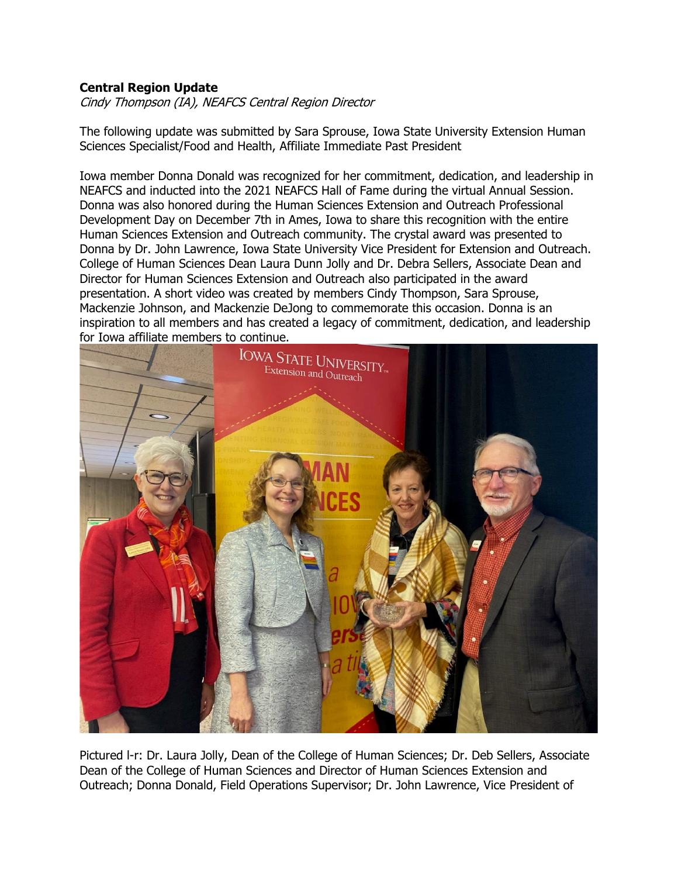## **Central Region Update**

Cindy Thompson (IA), NEAFCS Central Region Director

The following update was submitted by Sara Sprouse, Iowa State University Extension Human Sciences Specialist/Food and Health, Affiliate Immediate Past President

Iowa member Donna Donald was recognized for her commitment, dedication, and leadership in NEAFCS and inducted into the 2021 NEAFCS Hall of Fame during the virtual Annual Session. Donna was also honored during the Human Sciences Extension and Outreach Professional Development Day on December 7th in Ames, Iowa to share this recognition with the entire Human Sciences Extension and Outreach community. The crystal award was presented to Donna by Dr. John Lawrence, Iowa State University Vice President for Extension and Outreach. College of Human Sciences Dean Laura Dunn Jolly and Dr. Debra Sellers, Associate Dean and Director for Human Sciences Extension and Outreach also participated in the award presentation. A short video was created by members Cindy Thompson, Sara Sprouse, Mackenzie Johnson, and Mackenzie DeJong to commemorate this occasion. Donna is an inspiration to all members and has created a legacy of commitment, dedication, and leadership for Iowa affiliate members to continue.



Pictured l-r: Dr. Laura Jolly, Dean of the College of Human Sciences; Dr. Deb Sellers, Associate Dean of the College of Human Sciences and Director of Human Sciences Extension and Outreach; Donna Donald, Field Operations Supervisor; Dr. John Lawrence, Vice President of